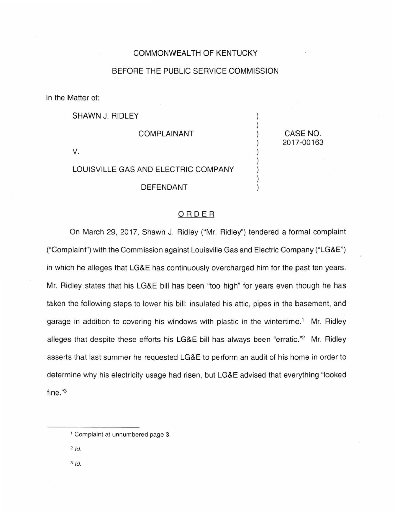## COMMONWEALTH OF KENTUCKY

## BEFORE THE PUBLIC SERVICE COMMISSION

) ) ) ) ) ) ) ) )

CASE NO. 2017-00163

In the Matter of:

SHAWN J. RIDLEY

COMPLAINANT

V.

## LOUISVILLE GAS AND ELECTRIC COMPANY

DEFENDANT

## ORDER

On March 29, 2017, Shawn J. Ridley ("Mr. Ridley") tendered a formal complaint ("Complaint") with the Commission against Louisville Gas and Electric Company ("LG&E") in which he alleges that LG&E has continuously overcharged him for the past ten years. Mr. Ridley states that his LG&E bill has been "too high" for years even though he has taken the following steps to lower his bill: insulated his attic, pipes in the basement, and garage in addition to covering his windows with plastic in the wintertime.<sup>1</sup> Mr. Ridley alleges that despite these efforts his LG&E bill has always been "erratic."2 Mr. Ridley asserts that last summer he requested LG&E to perform an audit of his home in order to determine why his electricity usage had risen, but LG&E advised that everything "looked fine."3

 $2/d$ .

3 */d.* 

<sup>&</sup>lt;sup>1</sup> Complaint at unnumbered page 3.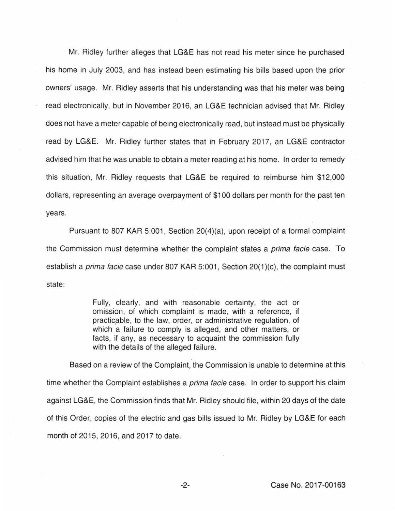Mr. Ridley further alleges that LG&E has not read his meter since he purchased his home in July 2003, and has instead been estimating his bills based upon the prior owners' usage. Mr. Ridley asserts that his understanding was that his meter was being read electronically, but in November 2016, an LG&E technician advised that Mr. Ridley does not have a meter capable of being electronically read , but instead must be physically read by LG&E. Mr. Ridley further states that in February 2017, an LG&E contractor advised him that he was unable to obtain a meter reading at his home. In order to remedy this situation, Mr. Ridley requests that LG&E be required to reimburse him \$12,000 dollars, representing an average overpayment of \$100 dollars per month for the past ten years.

Pursuant to 807 KAR 5:001, Section 20(4)(a), upon receipt of a formal complaint the Commission must determine whether the complaint states a *prima facie* case. To establish a *prima facie* case under 807 KAR 5:001, Section  $20(1)(c)$ , the complaint must state:

> Fully, clearly, and with reasonable certainty, the act or omission, of which complaint is made, with a reference, if practicable, to the law, order, or administrative regulation, of which a failure to comply is alleged, and other matters, or facts, if any, as necessary to acquaint the commission fully with the details of the alleged failure.

Based on a review of the Complaint, the Commission is unable to determine at this time whether the Complaint establishes a *prima facie* case. In order to support his claim against LG&E, the Commission finds that Mr. Ridley should file, within 20 days of the date of this Order, copies of the electric and gas bills issued to Mr. Ridley by LG&E for each month of 2015, 2016, and 2017 to date.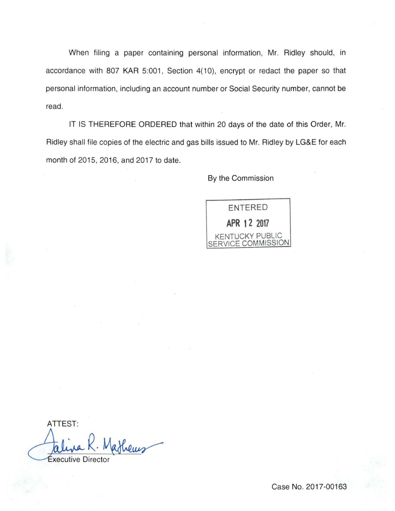When filing a paper containing personal information, Mr. Ridley should, in accordance with 807 KAR 5:001, Section 4(10), encrypt or redact the paper so that personal information, including an account number or Social Security number, cannot be read.

IT IS THEREFORE ORDERED that within 20 days of the date of this Order, Mr. Ridley shall file copies of the electric and gas bills issued to Mr. Ridley by LG&E for each month of 2015, 2016, and 2017 to date.

By the Commission



ATTEST: thems

xecutive Director